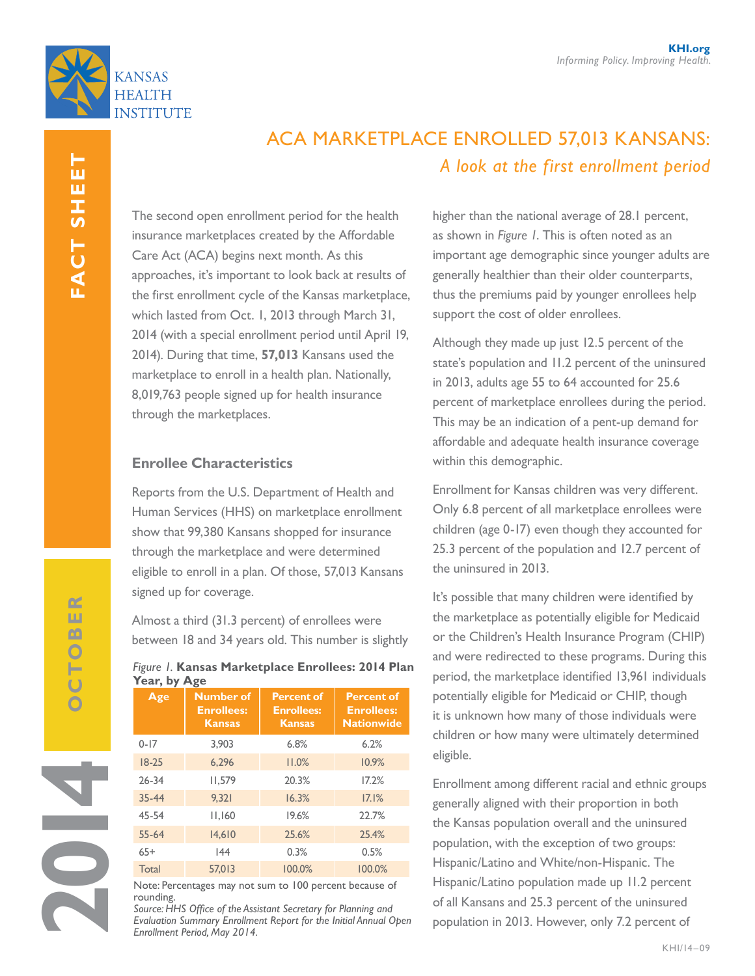



# Aca marketplace enrolled 57,013 kansans: *A look at the first enrollment period*

The second open enrollment period for the health insurance marketplaces created by the Affordable Care Act (ACA) begins next month. As this approaches, it's important to look back at results of the first enrollment cycle of the Kansas marketplace, which lasted from Oct. 1, 2013 through March 31, 2014 (with a special enrollment period until April 19, 2014). During that time, **57,013** Kansans used the marketplace to enroll in a health plan. Nationally, 8,019,763 people signed up for health insurance through the marketplaces.

## **Enrollee Characteristics**

Reports from the U.S. Department of Health and Human Services (HHS) on marketplace enrollment show that 99,380 Kansans shopped for insurance through the marketplace and were determined eligible to enroll in a plan. Of those, 57,013 Kansans signed up for coverage.

Almost a third (31.3 percent) of enrollees were between 18 and 34 years old. This number is slightly

## *Figure 1.* **Kansas Marketplace Enrollees: 2014 Plan Year, by Age**

| Age       | <b>Number of</b><br><b>Enrollees:</b><br><b>Kansas</b> | <b>Percent of</b><br><b>Enrollees:</b><br><b>Kansas</b> | <b>Percent of</b><br><b>Enrollees:</b><br><b>Nationwide</b> |
|-----------|--------------------------------------------------------|---------------------------------------------------------|-------------------------------------------------------------|
| $0 - 17$  | 3.903                                                  | 6.8%                                                    | 6.2%                                                        |
| $18-25$   | 6.296                                                  | 11.0%                                                   | 10.9%                                                       |
| $26 - 34$ | 11,579                                                 | 20.3%                                                   | 17.2%                                                       |
| $35 - 44$ | 9.321                                                  | 16.3%                                                   | 17.1%                                                       |
| 45-54     | 11.160                                                 | 19.6%                                                   | 22.7%                                                       |
| $55 - 64$ | 14,610                                                 | 25.6%                                                   | 25.4%                                                       |
| $65+$     | 44                                                     | 0.3%                                                    | 0.5%                                                        |
| Total     | 57,013                                                 | 100.0%                                                  | 100.0%                                                      |

Note: Percentages may not sum to 100 percent because of rounding.

*Source: HHS Office of the Assistant Secretary for Planning and Evaluation Summary Enrollment Report for the Initial Annual Open Enrollment Period, May 2014.*

higher than the national average of 28.1 percent, as shown in *Figure 1*. This is often noted as an important age demographic since younger adults are generally healthier than their older counterparts, thus the premiums paid by younger enrollees help support the cost of older enrollees.

Although they made up just 12.5 percent of the state's population and 11.2 percent of the uninsured in 2013, adults age 55 to 64 accounted for 25.6 percent of marketplace enrollees during the period. This may be an indication of a pent-up demand for affordable and adequate health insurance coverage within this demographic.

**approved 9/8/14** children (age 0-17) even though they accounted for Enrollment for Kansas children was very different. Only 6.8 percent of all marketplace enrollees were 25.3 percent of the population and 12.7 percent of the uninsured in 2013.

It's possible that many children were identified by the marketplace as potentially eligible for Medicaid or the Children's Health Insurance Program (CHIP) and were redirected to these programs. During this period, the marketplace identified 13,961 individuals potentially eligible for Medicaid or CHIP, though it is unknown how many of those individuals were children or how many were ultimately determined eligible.

Enrollment among different racial and ethnic groups generally aligned with their proportion in both the Kansas population overall and the uninsured population, with the exception of two groups: Hispanic/Latino and White/non-Hispanic. The Hispanic/Latino population made up 11.2 percent of all Kansans and 25.3 percent of the uninsured population in 2013. However, only 7.2 percent of